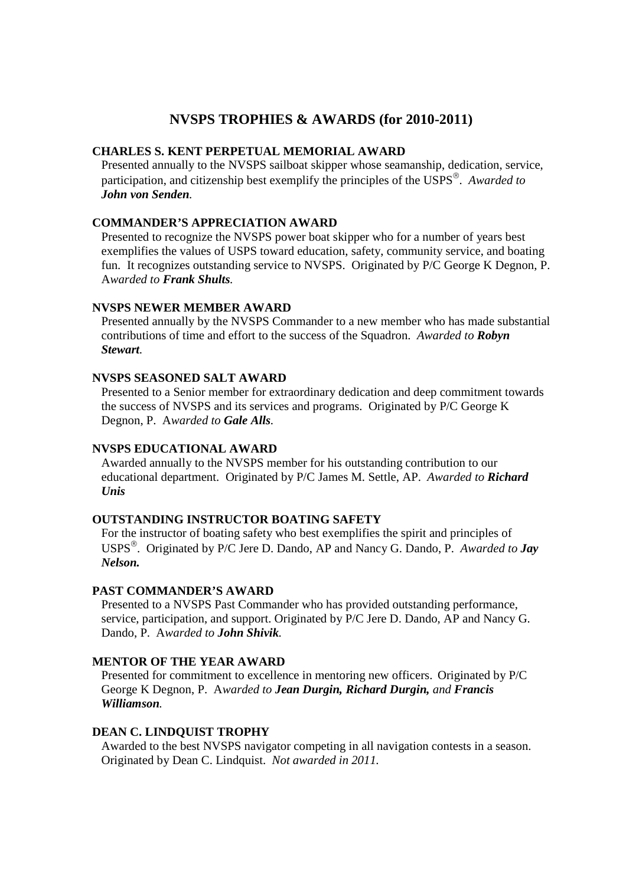# **NVSPS TROPHIES & AWARDS (for 2010-2011)**

# **CHARLES S. KENT PERPETUAL MEMORIAL AWARD**

Presented annually to the NVSPS sailboat skipper whose seamanship, dedication, service, participation, and citizenship best exemplify the principles of the USPS . *Awarded to John von Senden.* 

### **COMMANDER'S APPRECIATION AWARD**

Presented to recognize the NVSPS power boat skipper who for a number of years best exemplifies the values of USPS toward education, safety, community service, and boating fun. It recognizes outstanding service to NVSPS. Originated by P/C George K Degnon, P. A*warded to Frank Shults.* 

### **NVSPS NEWER MEMBER AWARD**

Presented annually by the NVSPS Commander to a new member who has made substantial contributions of time and effort to the success of the Squadron. *Awarded to Robyn Stewart.* 

#### **NVSPS SEASONED SALT AWARD**

Presented to a Senior member for extraordinary dedication and deep commitment towards the success of NVSPS and its services and programs. Originated by P/C George K Degnon, P. A*warded to Gale Alls.* 

#### **NVSPS EDUCATIONAL AWARD**

Awarded annually to the NVSPS member for his outstanding contribution to our educational department. Originated by P/C James M. Settle, AP. *Awarded to Richard Unis*

#### **OUTSTANDING INSTRUCTOR BOATING SAFETY**

For the instructor of boating safety who best exemplifies the spirit and principles of USPS . Originated by P/C Jere D. Dando, AP and Nancy G. Dando, P. *Awarded to Jay Nelson.* 

#### **PAST COMMANDER'S AWARD**

Presented to a NVSPS Past Commander who has provided outstanding performance, service, participation, and support. Originated by P/C Jere D. Dando, AP and Nancy G. Dando, P. A*warded to John Shivik.* 

### **MENTOR OF THE YEAR AWARD**

Presented for commitment to excellence in mentoring new officers. Originated by P/C George K Degnon, P. A*warded to Jean Durgin, Richard Durgin, and Francis Williamson.* 

# **DEAN C. LINDQUIST TROPHY**

Awarded to the best NVSPS navigator competing in all navigation contests in a season. Originated by Dean C. Lindquist. *Not awarded in 2011.*